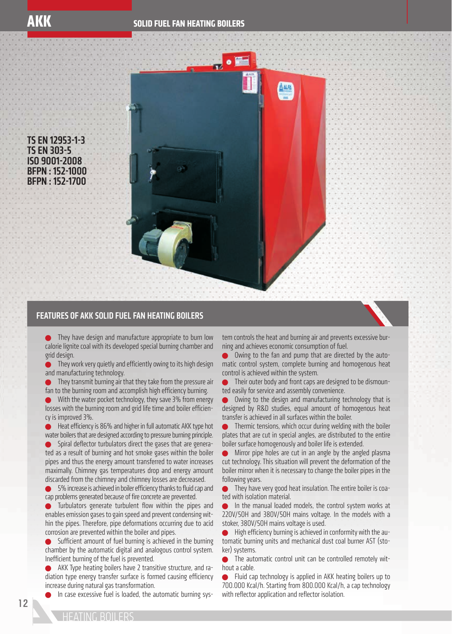TS EN 12953-1-3 TS EN 303-5 ISO 9001-2008 BFPN : 152-1000 BFPN : 152-1700



## FEATURES OF AKK SOLID FUEL FAN HEATING BOILERS

**They have design and manufacture appropriate to burn low** calorie lignite coal with its developed special burning chamber and grid design.

 $\bullet$  They work very quietly and efficiently owing to its high design and manufacturing technology.

**They transmit burning air that they take from the pressure air** fan to the burning room and accomplish high efficiency burning.

With the water pocket technology, they save 3% from energy losses with the burning room and grid life time and boiler efficiency is improved 3%.

 $\bullet$  Heat efficiency is 86% and higher in full automatic AKK type hot water boilers that are designed according to pressure burning principle.

Spiral deflector turbulators direct the gases that are generated as a result of burning and hot smoke gases within the boiler pipes and thus the energy amount transferred to water increases maximally. Chimney gas temperatures drop and energy amount discarded from the chimney and chimney losses are decreased.

5% increase is achieved in boiler efficiency thanks to fluid cap and cap problems generated because of fire concrete are prevented.

Turbulators generate turbulent flow within the pipes and enables emission gases to gain speed and prevent condensing within the pipes. Therefore, pipe deformations occurring due to acid corrosion are prevented within the boiler and pipes.

 $\bullet$  Sufficient amount of fuel burning is achieved in the burning chamber by the automatic digital and analogous control system. Inefficient burning of the fuel is prevented.

 AKK Type heating boilers have 2 transitive structure, and radiation type energy transfer surface is formed causing efficiency increase during natural gas transformation.

In case excessive fuel is loaded, the automatic burning sys-

tem controls the heat and burning air and prevents excessive burning and achieves economic consumption of fuel.

 Owing to the fan and pump that are directed by the automatic control system, complete burning and homogenous heat control is achieved within the system.

 Their outer body and front caps are designed to be dismounted easily for service and assembly convenience.

 Owing to the design and manufacturing technology that is designed by R&D studies, equal amount of homogenous heat transfer is achieved in all surfaces within the boiler.

 Thermic tensions, which occur during welding with the boiler plates that are cut in special angles, are distributed to the entire boiler surface homogenously and boiler life is extended.

 Mirror pipe holes are cut in an angle by the angled plasma cut technology. This situation will prevent the deformation of the boiler mirror when it is necessary to change the boiler pipes in the following years.

 They have very good heat insulation. The entire boiler is coated with isolation material.

 In the manual loaded models, the control system works at 220V/50H and 380V/50H mains voltage. In the models with a stoker, 380V/50H mains voltage is used.

 $\bullet$  High efficiency burning is achieved in conformity with the automatic burning units and mechanical dust coal burner AST (stoker) systems.

The automatic control unit can be controlled remotely without a cable.

 Fluid cap technology is applied in AKK heating boilers up to 700.000 Kcal/h. Starting from 800.000 Kcal/h, a cap technology with reflector application and reflector isolation.